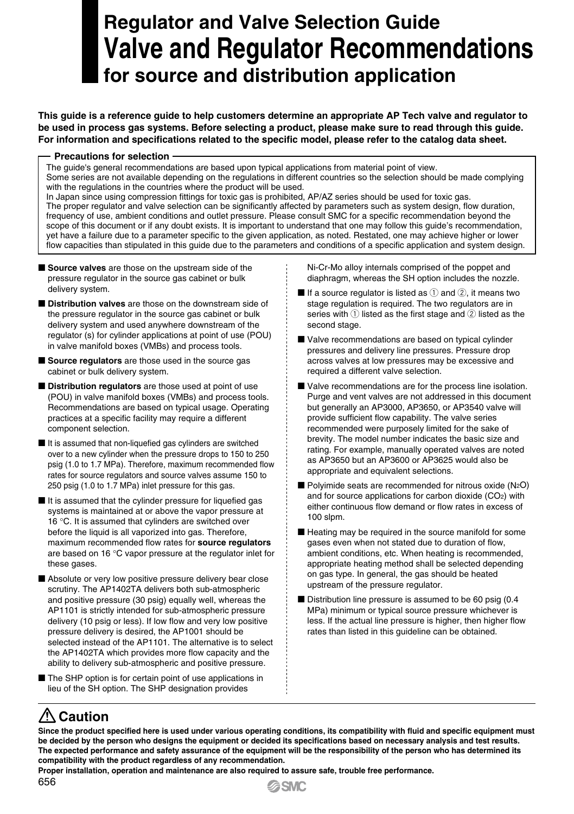## **Regulator and Valve Selection Guide Valve and Regulator Recommendations for source and distribution application**

**This guide is a reference guide to help customers determine an appropriate AP Tech valve and regulator to be used in process gas systems. Before selecting a product, please make sure to read through this guide. For information and specifications related to the specific model, please refer to the catalog data sheet.**

#### **Precautions for selection**

The guide's general recommendations are based upon typical applications from material point of view.

Some series are not available depending on the regulations in different countries so the selection should be made complying with the regulations in the countries where the product will be used.

In Japan since using compression fittings for toxic gas is prohibited, AP/AZ series should be used for toxic gas. The proper regulator and valve selection can be significantly affected by parameters such as system design, flow duration, frequency of use, ambient conditions and outlet pressure. Please consult SMC for a specific recommendation beyond the scope of this document or if any doubt exists. It is important to understand that one may follow this guide's recommendation, yet have a failure due to a parameter specific to the given application, as noted. Restated, one may achieve higher or lower flow capacities than stipulated in this guide due to the parameters and conditions of a specific application and system design.

- **Source valves** are those on the upstream side of the pressure regulator in the source gas cabinet or bulk delivery system.
- M **Distribution valves** are those on the downstream side of the pressure regulator in the source gas cabinet or bulk delivery system and used anywhere downstream of the regulator (s) for cylinder applications at point of use (POU) in valve manifold boxes (VMBs) and process tools.
- **Source regulators** are those used in the source gas cabinet or bulk delivery system.
- $\blacksquare$  **Distribution regulators** are those used at point of use (POU) in valve manifold boxes (VMBs) and process tools. Recommendations are based on typical usage. Operating practices at a specific facility may require a different component selection.
- $\blacksquare$  It is assumed that non-liquefied gas cylinders are switched over to a new cylinder when the pressure drops to 150 to 250 psig (1.0 to 1.7 MPa). Therefore, maximum recommended flow rates for source regulators and source valves assume 150 to 250 psig (1.0 to 1.7 MPa) inlet pressure for this gas.
- $\blacksquare$  It is assumed that the cylinder pressure for liquefied gas systems is maintained at or above the vapor pressure at 16 °C. It is assumed that cylinders are switched over before the liquid is all vaporized into gas. Therefore, maximum recommended flow rates for **source regulators** are based on 16 °C vapor pressure at the regulator inlet for these gases.
- Absolute or very low positive pressure delivery bear close scrutiny. The AP1402TA delivers both sub-atmospheric and positive pressure (30 psig) equally well, whereas the AP1101 is strictly intended for sub-atmospheric pressure delivery (10 psig or less). If low flow and very low positive pressure delivery is desired, the AP1001 should be selected instead of the AP1101. The alternative is to select the AP1402TA which provides more flow capacity and the ability to delivery sub-atmospheric and positive pressure.
- The SHP option is for certain point of use applications in lieu of the SH option. The SHP designation provides

Ni-Cr-Mo alloy internals comprised of the poppet and diaphragm, whereas the SH option includes the nozzle.

- If a source regulator is listed as  $\hat{p}$  and  $\hat{p}$ , it means two stage regulation is required. The two regulators are in series with  $\Omega$  listed as the first stage and  $\Omega$  listed as the second stage.
- Valve recommendations are based on typical cylinder pressures and delivery line pressures. Pressure drop across valves at low pressures may be excessive and required a different valve selection.
- Valve recommendations are for the process line isolation. Purge and vent valves are not addressed in this document but generally an AP3000, AP3650, or AP3540 valve will provide sufficient flow capability. The valve series recommended were purposely limited for the sake of brevity. The model number indicates the basic size and rating. For example, manually operated valves are noted as AP3650 but an AP3600 or AP3625 would also be appropriate and equivalent selections.
- $\blacksquare$  Polyimide seats are recommended for nitrous oxide (N<sub>2</sub>O) and for source applications for carbon dioxide (CO2) with either continuous flow demand or flow rates in excess of 100 slpm.
- $\blacksquare$  Heating may be required in the source manifold for some gases even when not stated due to duration of flow, ambient conditions, etc. When heating is recommended, appropriate heating method shall be selected depending on gas type. In general, the gas should be heated upstream of the pressure regulator.
- $\blacksquare$  Distribution line pressure is assumed to be 60 psig (0.4) MPa) minimum or typical source pressure whichever is less. If the actual line pressure is higher, then higher flow rates than listed in this guideline can be obtained.

### **Caution**

**Since the product specified here is used under various operating conditions, its compatibility with fluid and specific equipment must be decided by the person who designs the equipment or decided its specifications based on necessary analysis and test results. The expected performance and safety assurance of the equipment will be the responsibility of the person who has determined its compatibility with the product regardless of any recommendation.**

**Proper installation, operation and maintenance are also required to assure safe, trouble free performance.**

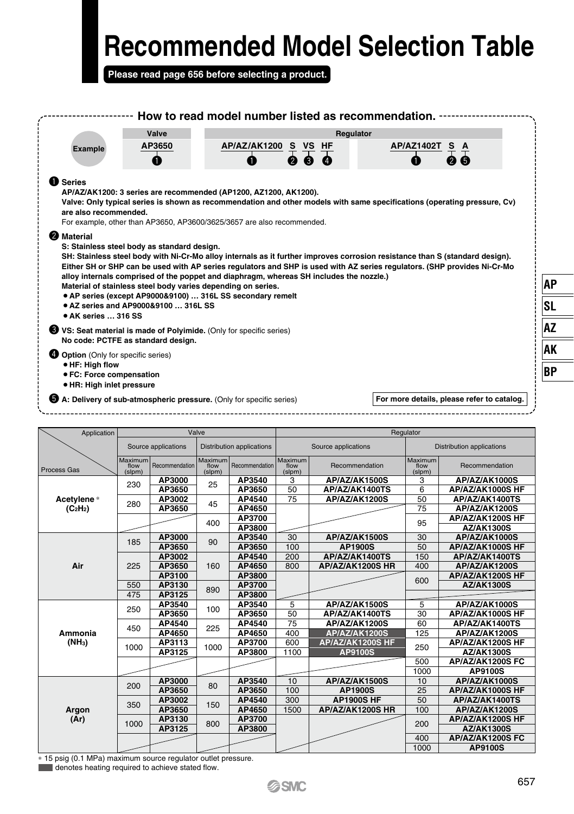**Please read page 656 before selecting a product.**

|                                                                                                                            |                 | Valve               |                 |                             |                 | Regulator                                                                               |                 |                                                                                                                                                                                                                                                          |  |
|----------------------------------------------------------------------------------------------------------------------------|-----------------|---------------------|-----------------|-----------------------------|-----------------|-----------------------------------------------------------------------------------------|-----------------|----------------------------------------------------------------------------------------------------------------------------------------------------------------------------------------------------------------------------------------------------------|--|
| Example                                                                                                                    |                 | AP3650              |                 | <u>AP/AZ/AK1200 S VS HF</u> |                 |                                                                                         | AP/AZ1402T      |                                                                                                                                                                                                                                                          |  |
|                                                                                                                            |                 | A                   |                 |                             |                 |                                                                                         |                 |                                                                                                                                                                                                                                                          |  |
|                                                                                                                            |                 |                     |                 |                             |                 |                                                                                         |                 |                                                                                                                                                                                                                                                          |  |
| <b>O</b> Series<br>AP/AZ/AK1200: 3 series are recommended (AP1200, AZ1200, AK1200).                                        |                 |                     |                 |                             |                 |                                                                                         |                 |                                                                                                                                                                                                                                                          |  |
|                                                                                                                            |                 |                     |                 |                             |                 |                                                                                         |                 | Valve: Only typical series is shown as recommendation and other models with same specifications (operating pressure, Cv)                                                                                                                                 |  |
| are also recommended.                                                                                                      |                 |                     |                 |                             |                 |                                                                                         |                 |                                                                                                                                                                                                                                                          |  |
| For example, other than AP3650, AP3600/3625/3657 are also recommended.                                                     |                 |                     |                 |                             |                 |                                                                                         |                 |                                                                                                                                                                                                                                                          |  |
| <b>2</b> Material                                                                                                          |                 |                     |                 |                             |                 |                                                                                         |                 |                                                                                                                                                                                                                                                          |  |
| S: Stainless steel body as standard design.                                                                                |                 |                     |                 |                             |                 |                                                                                         |                 | SH: Stainless steel body with Ni-Cr-Mo alloy internals as it further improves corrosion resistance than S (standard design).<br>Either SH or SHP can be used with AP series regulators and SHP is used with AZ series regulators. (SHP provides Ni-Cr-Mo |  |
| Material of stainless steel body varies depending on series.<br>• AP series (except AP9000&9100)  316L SS secondary remelt |                 |                     |                 |                             |                 | alloy internals comprised of the poppet and diaphragm, whereas SH includes the nozzle.) |                 |                                                                                                                                                                                                                                                          |  |
| ● AZ series and AP9000&9100  316L SS<br><b>.</b> AK series  316 SS                                                         |                 |                     |                 |                             |                 |                                                                                         |                 |                                                                                                                                                                                                                                                          |  |
| VS: Seat material is made of Polyimide. (Only for specific series)<br>No code: PCTFE as standard design.                   |                 |                     |                 |                             |                 |                                                                                         |                 |                                                                                                                                                                                                                                                          |  |
| <b>4</b> Option (Only for specific series)<br>· HF: High flow                                                              |                 |                     |                 |                             |                 |                                                                                         |                 |                                                                                                                                                                                                                                                          |  |
| ● FC: Force compensation                                                                                                   |                 |                     |                 |                             |                 |                                                                                         |                 |                                                                                                                                                                                                                                                          |  |
| · HR: High inlet pressure                                                                                                  |                 |                     |                 |                             |                 |                                                                                         |                 |                                                                                                                                                                                                                                                          |  |
| A: Delivery of sub-atmospheric pressure. (Only for specific series)                                                        |                 |                     |                 |                             |                 |                                                                                         |                 | For more details, please refer to catalog.                                                                                                                                                                                                               |  |
|                                                                                                                            |                 |                     |                 |                             |                 |                                                                                         |                 |                                                                                                                                                                                                                                                          |  |
|                                                                                                                            |                 |                     |                 |                             |                 |                                                                                         |                 |                                                                                                                                                                                                                                                          |  |
|                                                                                                                            |                 |                     |                 |                             |                 |                                                                                         |                 |                                                                                                                                                                                                                                                          |  |
| Application                                                                                                                |                 |                     | Valve           |                             |                 |                                                                                         | Regulator       |                                                                                                                                                                                                                                                          |  |
|                                                                                                                            |                 | Source applications |                 | Distribution applications   |                 | Source applications                                                                     |                 | Distribution applications                                                                                                                                                                                                                                |  |
|                                                                                                                            | Maximum<br>flow | Recommendation      | Maximum<br>flow | Recommendation              | Maximum<br>flow | Recommendation                                                                          | Maximum<br>flow | Recommendation                                                                                                                                                                                                                                           |  |
|                                                                                                                            | (slpm)          | AP3000              | (slpm)          | AP3540                      | (slpm)<br>3     | AP/AZ/AK1500S                                                                           | (slpm)<br>3     | AP/AZ/AK1000S                                                                                                                                                                                                                                            |  |
|                                                                                                                            | 230             | AP3650              | 25              | AP3650                      | 50              | AP/AZ/AK1400TS                                                                          | 6               | AP/AZ/AK1000S HF                                                                                                                                                                                                                                         |  |
|                                                                                                                            |                 | AP3002              |                 | AP4540                      | 75              | AP/AZ/AK1200S                                                                           | 50              | AP/AZ/AK1400TS                                                                                                                                                                                                                                           |  |
| (C <sub>2</sub> H <sub>2</sub> )                                                                                           | 280             | AP3650              | 45              | AP4650                      |                 |                                                                                         | 75              | AP/AZ/AK1200S                                                                                                                                                                                                                                            |  |
|                                                                                                                            |                 |                     | 400             | AP3700                      |                 |                                                                                         | 95              | AP/AZ/AK1200S HF                                                                                                                                                                                                                                         |  |
|                                                                                                                            |                 |                     |                 | AP3800                      |                 |                                                                                         |                 | AZ/AK1300S                                                                                                                                                                                                                                               |  |
|                                                                                                                            | 185             | AP3000              | 90              | AP3540                      | 30              | AP/AZ/AK1500S                                                                           | 30              | AP/AZ/AK1000S                                                                                                                                                                                                                                            |  |
|                                                                                                                            |                 | AP3650              |                 | AP3650                      | 100             | <b>AP1900S</b>                                                                          | 50              | AP/AZ/AK1000S HF                                                                                                                                                                                                                                         |  |
| Air                                                                                                                        | 225             | AP3002<br>AP3650    | 160             | AP4540<br>AP4650            | 200<br>800      | AP/AZ/AK1400TS<br>AP/AZ/AK1200S HR                                                      | 150<br>400      | AP/AZ/AK1400TS<br>AP/AZ/AK1200S                                                                                                                                                                                                                          |  |
|                                                                                                                            |                 | AP3100              |                 | AP3800                      |                 |                                                                                         |                 | AP/AZ/AK1200S HF                                                                                                                                                                                                                                         |  |
|                                                                                                                            | 550             | AP3130              |                 | AP3700                      |                 |                                                                                         | 600             | AZ/AK1300S                                                                                                                                                                                                                                               |  |
|                                                                                                                            | 475             | AP3125              | 890             | AP3800                      |                 |                                                                                         |                 |                                                                                                                                                                                                                                                          |  |
|                                                                                                                            | 250             | AP3540              | 100             | AP3540                      | 5               | AP/AZ/AK1500S                                                                           | 5               | AP/AZ/AK1000S                                                                                                                                                                                                                                            |  |
|                                                                                                                            |                 | AP3650              |                 | AP3650                      | 50              | AP/AZ/AK1400TS                                                                          | 30              | AP/AZ/AK1000S HF                                                                                                                                                                                                                                         |  |
|                                                                                                                            | 450             | AP4540              | 225             | AP4540                      | 75              | AP/AZ/AK1200S                                                                           | 60              | AP/AZ/AK1400TS                                                                                                                                                                                                                                           |  |
| Ammonia                                                                                                                    |                 | AP4650              |                 | AP4650                      | 400             | AP/AZ/AK1200S                                                                           | 125             | AP/AZ/AK1200S                                                                                                                                                                                                                                            |  |
| (NH <sub>3</sub> )                                                                                                         | 1000            | AP3113              | 1000            | AP3700                      | 600             | <b>AP/AZ/AK1200S HF</b>                                                                 | 250             | AP/AZ/AK1200S HF                                                                                                                                                                                                                                         |  |
|                                                                                                                            |                 | AP3125              |                 | AP3800                      | 1100            | <b>AP9100S</b>                                                                          | 500             | AZ/AK1300S<br>AP/AZ/AK1200S FC                                                                                                                                                                                                                           |  |
|                                                                                                                            |                 |                     |                 |                             |                 |                                                                                         | 1000            | <b>AP9100S</b>                                                                                                                                                                                                                                           |  |
| Process Gas<br>Acetylene*                                                                                                  |                 | AP3000              |                 | AP3540                      | 10              | AP/AZ/AK1500S                                                                           | 10              | AP/AZ/AK1000S                                                                                                                                                                                                                                            |  |
|                                                                                                                            | 200             | AP3650              | 80              | AP3650                      | 100             | <b>AP1900S</b>                                                                          | 25              | AP/AZ/AK1000S HF                                                                                                                                                                                                                                         |  |
|                                                                                                                            |                 | AP3002              |                 | AP4540                      | 300             | <b>AP1900S HF</b>                                                                       | 50              | AP/AZ/AK1400TS                                                                                                                                                                                                                                           |  |
| Argon                                                                                                                      | 350             | AP3650              | 150             | AP4650                      | 1500            | AP/AZ/AK1200S HR                                                                        | 100             | AP/AZ/AK1200S                                                                                                                                                                                                                                            |  |
| (Ar)                                                                                                                       | 1000            | AP3130              | 800             | AP3700                      |                 |                                                                                         | 200             | AP/AZ/AK1200S HF                                                                                                                                                                                                                                         |  |
|                                                                                                                            |                 | AP3125              |                 | AP3800                      |                 |                                                                                         | 400             | <b>AZ/AK1300S</b><br>AP/AZ/AK1200S FC                                                                                                                                                                                                                    |  |

\* 15 psig (0.1 MPa) maximum source regulator outlet pressure. denotes heating required to achieve stated flow.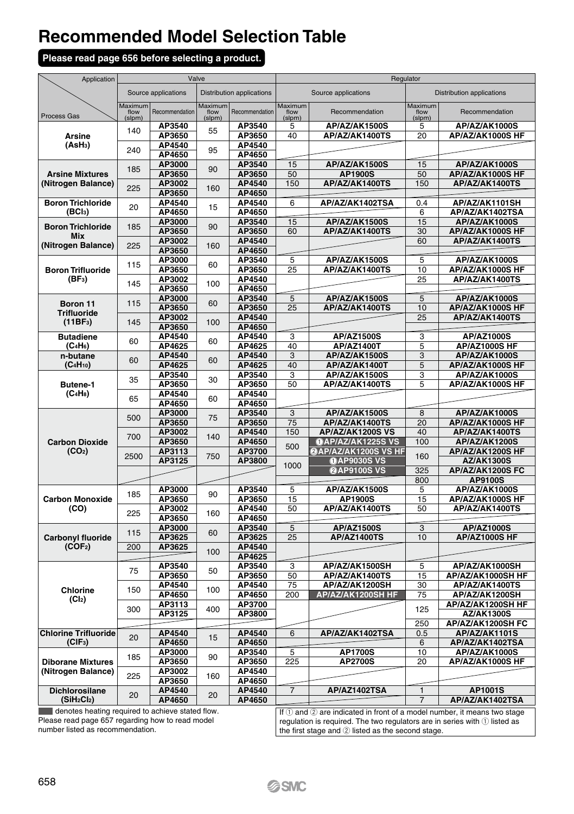#### **Please read page 656 before selecting a product.**

| Application                                     |                           | Valve               |                           |                           | Regulator                 |                                              |                                  |                                        |  |
|-------------------------------------------------|---------------------------|---------------------|---------------------------|---------------------------|---------------------------|----------------------------------------------|----------------------------------|----------------------------------------|--|
|                                                 |                           | Source applications |                           | Distribution applications |                           | Source applications                          | <b>Distribution applications</b> |                                        |  |
| Process Gas                                     | Maximum<br>flow<br>(slpm) | Recommendation      | Maximum<br>flow<br>(slpm) | Recommendation            | Maximum<br>flow<br>(slpm) | Recommendation                               | Maximum<br>flow<br>(slpm)        | Recommendation                         |  |
| Arsine                                          | 140                       | AP3540<br>AP3650    | 55                        | AP3540<br>AP3650          | 5<br>40                   | AP/AZ/AK1500S<br>AP/AZ/AK1400TS              | 5<br>20                          | AP/AZ/AK1000S<br>AP/AZ/AK1000S HF      |  |
| (AsH <sub>3</sub> )                             | 240                       | AP4540<br>AP4650    | 95                        | AP4540<br>AP4650          |                           |                                              |                                  |                                        |  |
|                                                 | 185                       | AP3000              | 90                        | AP3540                    | 15                        | AP/AZ/AK1500S                                | 15                               | <b>AP/AZ/AK1000S</b>                   |  |
| <b>Arsine Mixtures</b><br>(Nitrogen Balance)    |                           | AP3650<br>AP3002    |                           | AP3650<br>AP4540          | 50<br>150                 | AP1900S<br>AP/AZ/AK1400TS                    | 50<br>150                        | AP/AZ/AK1000S HF<br>AP/AZ/AK1400TS     |  |
|                                                 | 225                       | AP3650              | 160                       | AP4650                    |                           |                                              |                                  |                                        |  |
| <b>Boron Trichloride</b><br>(BCI <sub>3</sub> ) | 20                        | AP4540<br>AP4650    | 15                        | AP4540<br>AP4650          | 6                         | AP/AZ/AK1402TSA                              | 0.4<br>6                         | AP/AZ/AK1101SH<br>AP/AZ/AK1402TSA      |  |
|                                                 |                           | AP3000              |                           | AP3540                    | 15                        | AP/AZ/AK1500S                                | 15                               | AP/AZ/AK1000S                          |  |
| <b>Boron Trichloride</b><br><b>Mix</b>          | 185                       | AP3650              | 90                        | AP3650                    | 60                        | AP/AZ/AK1400TS                               | 30                               | AP/AZ/AK1000S HF                       |  |
| (Nitrogen Balance)                              | 225                       | AP3002<br>AP3650    | 160                       | AP4540<br>AP4650          |                           |                                              | 60                               | AP/AZ/AK1400TS                         |  |
|                                                 |                           | AP3000              |                           | AP3540                    | $\overline{5}$            | AP/AZ/AK1500S                                | $\overline{5}$                   | AP/AZ/AK1000S                          |  |
| <b>Boron Trifluoride</b>                        | 115                       | AP3650              | 60                        | AP3650                    | 25                        | AP/AZ/AK1400TS                               | 10                               | AP/AZ/AK1000S HF                       |  |
| (BF <sub>3</sub> )                              | 145                       | AP3002<br>AP3650    | 100                       | AP4540<br>AP4650          |                           |                                              | 25                               | AP/AZ/AK1400TS                         |  |
|                                                 |                           | AP3000              |                           | AP3540                    | $\overline{5}$            | AP/AZ/AK1500S                                | 5                                | AP/AZ/AK1000S                          |  |
| Boron 11<br><b>Trifluoride</b>                  | 115                       | AP3650              | 60                        | AP3650                    | 25                        | AP/AZ/AK1400TS                               | 10                               | AP/AZ/AK1000S HF                       |  |
| (11BF <sub>3</sub> )                            | 145                       | AP3002<br>AP3650    | 100                       | AP4540<br>AP4650          |                           |                                              | $\overline{25}$                  | AP/AZ/AK1400TS                         |  |
| <b>Butadiene</b>                                |                           | AP4540              |                           | AP4540                    | 3                         | <b>AP/AZ1500S</b>                            | 3                                | AP/AZ1000S                             |  |
| $(C_4H_6)$                                      | 60                        | AP4625              | 60                        | AP4625                    | 40                        | AP/AZ1400T                                   | 5                                | <b>AP/AZ1000S HF</b>                   |  |
| n-butane<br>(C <sub>4</sub> H <sub>10</sub> )   | 60                        | AP4540<br>AP4625    | 60                        | AP4540<br>AP4625          | 3<br>40                   | AP/AZ/AK1500S<br>AP/AZ/AK1400T               | 3<br>5                           | AP/AZ/AK1000S<br>AP/AZ/AK1000S HF      |  |
|                                                 |                           | AP3540              |                           | AP3540                    | 3                         | AP/AZ/AK1500S                                | 3                                | AP/AZ/AK1000S                          |  |
| Butene-1                                        | 35<br>65                  | AP3650              | 30                        | AP3650                    | 50                        | AP/AZ/AK1400TS                               | 5                                | AP/AZ/AK1000S HF                       |  |
| $(C_4H_8)$                                      |                           | AP4540<br>AP4650    | 60                        | AP4540<br>AP4650          |                           |                                              |                                  |                                        |  |
|                                                 |                           | AP3000              |                           | AP3540                    | 3                         | AP/AZ/AK1500S                                | 8                                | AP/AZ/AK1000S                          |  |
|                                                 | 500                       | AP3650              | 75                        | AP3650                    | 75                        | AP/AZ/AK1400TS                               | 20                               | AP/AZ/AK1000S HF                       |  |
| <b>Carbon Dioxide</b>                           | 700                       | AP3002<br>AP3650    | 140                       | AP4540<br>AP4650          | 150                       | AP/AZ/AK1200S VS<br><b>OAP/AZ/AK1225S VS</b> | 40<br>100                        | AP/AZ/AK1400TS<br><b>AP/AZ/AK1200S</b> |  |
| (CO <sub>2</sub> )                              | 2500                      | AP3113              | 750                       | AP3700                    | 500                       | @AP/AZ/AK1200S VS HF                         | 160                              | AP/AZ/AK1200S HF                       |  |
|                                                 |                           | AP3125              |                           | AP3800                    | 1000                      | <b>OAP9030S VS</b>                           |                                  | <b>AZ/AK1300S</b>                      |  |
|                                                 |                           |                     |                           |                           |                           | @AP9100S VS                                  | 325<br>800                       | AP/AZ/AK1200S FC<br>AP9100S            |  |
|                                                 | 185                       | AP3000              | 90                        | AP3540                    | 5                         | AP/AZ/AK1500S                                | 5                                | AP/AZ/AK1000S                          |  |
| <b>Carbon Monoxide</b>                          |                           | AP3650              |                           | AP3650                    | 15                        | <b>AP1900S</b>                               | 15                               | AP/AZ/AK1000S HF                       |  |
| (CO)                                            | 225                       | AP3002<br>AP3650    | 160                       | AP4540<br>AP4650          | 50                        | AP/AZ/AK1400TS                               | 50                               | AP/AZ/AK1400TS                         |  |
|                                                 | 115                       | AP3000              | 60                        | AP3540                    | 5                         | <b>AP/AZ1500S</b>                            | 3                                | AP/AZ1000S                             |  |
| <b>Carbonyl fluoride</b>                        |                           | AP3625              |                           | AP3625                    | 25                        | <b>AP/AZ1400TS</b>                           | 10                               | AP/AZ1000S HF                          |  |
| (COF <sub>2</sub> )                             | 200                       | AP3625              | 100                       | AP4540<br>AP4625          |                           |                                              |                                  |                                        |  |
|                                                 | 75                        | AP3540              | 50                        | AP3540                    | 3                         | AP/AZ/AK1500SH                               | 5                                | AP/AZ/AK1000SH                         |  |
|                                                 |                           | AP3650              |                           | AP3650<br>AP4540          | 50<br>75                  | AP/AZ/AK1400TS                               | 15<br>30                         | AP/AZ/AK1000SH HF                      |  |
| Chlorine                                        | 150                       | AP4540<br>AP4650    | 100                       | AP4650                    | 200                       | AP/AZ/AK1200SH<br>AP/AZ/AK1200SH HF          | 75                               | AP/AZ/AK1400TS<br>AP/AZ/AK1200SH       |  |
| (Cl <sub>2</sub> )                              | 300                       | AP3113              | 400                       | AP3700                    |                           |                                              | 125                              | AP/AZ/AK1200SH HF                      |  |
|                                                 |                           | AP3125              |                           | AP3800                    |                           |                                              | 250                              | AZ/AK1300S<br>AP/AZ/AK1200SH FC        |  |
| <b>Chlorine Trifluoride</b>                     |                           | AP4540              |                           | AP4540                    | $\overline{6}$            | AP/AZ/AK1402TSA                              | 0.5                              | AP/AZ/AK1101S                          |  |
| (CIF <sub>3</sub> )                             | 20                        | AP4650              | 15                        | AP4650                    |                           |                                              | 6                                | AP/AZ/AK1402TSA                        |  |
| <b>Diborane Mixtures</b>                        | 185                       | AP3000<br>AP3650    | 90                        | AP3540<br>AP3650          | 5<br>225                  | <b>AP1700S</b><br>AP2700S                    | 10<br>20                         | AP/AZ/AK1000S<br>AP/AZ/AK1000S HF      |  |
| (Nitrogen Balance)                              |                           | AP3002              |                           | AP4540                    |                           |                                              |                                  |                                        |  |
|                                                 | 225                       | AP3650              | 160                       | AP4650                    |                           |                                              |                                  |                                        |  |
| <b>Dichlorosilane</b>                           |                           |                     |                           |                           |                           |                                              |                                  |                                        |  |
| (SiH <sub>2</sub> Cl <sub>2</sub> )             | 20                        | AP4540<br>AP4650    | 20                        | AP4540<br>AP4650          | $\overline{7}$            | AP/AZ1402TSA                                 | $\overline{1}$<br>7              | AP1001S<br>AP/AZ/AK1402TSA             |  |

 denotes heating required to achieve stated flow. Please read page 657 regarding how to read model number listed as recommendation.

If ① and ② are indicated in front of a model number, it means two stage<br>regulation is required. The two regulators are in series with ① listed as<br>the first stage and ② listed as the second stage.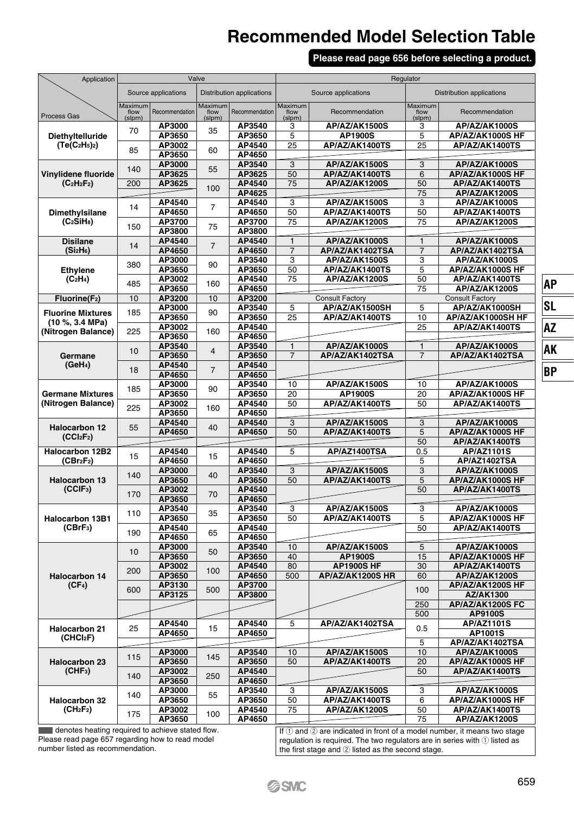#### **Please read page 656 before selecting a product.**

| Application                                           |                           | Valve            |                           |                  | Regulator                 |                                       |                                  |                                          |  |
|-------------------------------------------------------|---------------------------|------------------|---------------------------|------------------|---------------------------|---------------------------------------|----------------------------------|------------------------------------------|--|
|                                                       | Source applications       |                  | Distribution applications |                  |                           | Source applications                   | <b>Distribution applications</b> |                                          |  |
| Process Gas                                           | Maximum<br>flow<br>(slpm) | Recommendation   | Maximum<br>flow<br>(slpm) | Recommendation   | Maximum<br>flow<br>(slpm) | Recommendation                        | Maximum<br>flow<br>(slpm)        | Recommendation                           |  |
| Diethyltelluride                                      | 70                        | AP3000<br>AP3650 | 35                        | AP3540<br>AP3650 | 3<br>5                    | AP/AZ/AK1500S<br><b>AP1900S</b>       | 3<br>5                           | AP/AZ/AK1000S<br>AP/AZ/AK1000S HF        |  |
| $(Te(C2H5)2)$                                         | 85                        | AP3002<br>AP3650 | 60                        | AP4540<br>AP4650 | 25                        | AP/AZ/AK1400TS                        | $\overline{25}$                  | AP/AZ/AK1400TS                           |  |
|                                                       | 140                       | AP3000<br>AP3625 | 55                        | AP3540<br>AP3625 | 3<br>50                   | AP/AZ/AK1500S                         | 3<br>$\overline{6}$              | AP/AZ/AK1000S                            |  |
| Vinylidene fluoride<br>$(C_2H_2F_2)$                  | 200                       | AP3625           | 100                       | AP4540           | 75                        | AP/AZ/AK1400TS<br>AP/AZ/AK1200S       | 50                               | AP/AZ/AK1000S HF<br>AP/AZ/AK1400TS       |  |
|                                                       |                           | AP4540           |                           | AP4625<br>AP4540 | 3                         | AP/AZ/AK1500S                         | 75<br>$\overline{3}$             | AP/AZ/AK1200S<br>AP/AZ/AK1000S           |  |
| Dimethylsilane<br>$(C_2SiH_8)$                        | 14                        | AP4650<br>AP3700 | 7                         | AP4650<br>AP3700 | 50<br>75                  | AP/AZ/AK1400TS<br>AP/AZ/AK1200S       | 50<br>75                         | AP/AZ/AK1400TS<br>AP/AZ/AK1200S          |  |
|                                                       | 150                       | AP3800           | 75                        | AP3800           |                           |                                       |                                  |                                          |  |
| <b>Disilane</b><br>(Si <sub>2</sub> H <sub>6</sub> )  | 14                        | AP4540<br>AP4650 | $\overline{7}$            | AP4540<br>AP4650 | $\mathbf{1}$<br>7         | AP/AZ/AK1000S<br>AP/AZ/AK1402TSA      | $\mathbf{1}$<br>7                | AP/AZ/AK1000S<br>AP/AZ/AK1402TSA         |  |
| <b>Ethylene</b>                                       | 380                       | AP3000<br>AP3650 | 90                        | AP3540<br>AP3650 | 3<br>50                   | AP/AZ/AK1500S<br>AP/AZ/AK1400TS       | 3<br>5                           | AP/AZ/AK1000S<br>AP/AZ/AK1000S HF        |  |
| (C <sub>2</sub> H <sub>4</sub> )                      | 485                       | AP3002<br>AP3650 | 160                       | AP4540<br>AP4650 | 75                        | AP/AZ/AK1200S                         | 50<br>75                         | AP/AZ/AK1400TS<br>AP/AZ/AK1200S          |  |
| Fluorine(F <sub>2</sub> )                             | 10                        | AP3200           | 10                        | AP3200           |                           | <b>Consult Factory</b>                |                                  | <b>Consult Factory</b>                   |  |
| <b>Fluorine Mixtures</b>                              | 185                       | AP3000<br>AP3650 | 90                        | AP3540<br>AP3650 | 5<br>25                   | AP/AZ/AK1500SH<br>AP/AZ/AK1400TS      | 5<br>10                          | AP/AZ/AK1000SH<br>AP/AZ/AK1000SH HF      |  |
| (10 %, 3.4 MPa)<br>(Nitrogen Balance)                 | 225                       | AP3002           | 160                       | AP4540           |                           |                                       | 25                               | AP/AZ/AK1400TS                           |  |
|                                                       | 10                        | AP3650<br>AP3540 | $\overline{4}$            | AP4650<br>AP3540 | $\overline{1}$            | AP/AZ/AK1000S                         | $\overline{1}$                   | AP/AZ/AK1000S                            |  |
| Germane<br>(GeH <sub>4</sub> )                        |                           | AP3650<br>AP4540 |                           | AP3650<br>AP4540 | $\overline{7}$            | AP/AZ/AK1402TSA                       | $\overline{7}$                   | AP/AZ/AK1402TSA                          |  |
|                                                       | 18                        | AP4650           | $\overline{7}$            | AP4650           |                           |                                       |                                  |                                          |  |
| <b>Germane Mixtures</b>                               | 185                       | AP3000<br>AP3650 | 90                        | AP3540<br>AP3650 | 10<br>20                  | AP/AZ/AK1500S<br><b>AP1900S</b>       | 10<br>20                         | AP/AZ/AK1000S<br>AP/AZ/AK1000S HF        |  |
| (Nitrogen Balance)                                    | 225                       | AP3002<br>AP3650 | 160                       | AP4540<br>AP4650 | 50                        | AP/AZ/AK1400TS                        | 50                               | AP/AZ/AK1400TS                           |  |
| <b>Halocarbon 12</b>                                  | 55                        | AP4540           | 40                        | AP4540           | 3                         | AP/AZ/AK1500S                         | 3                                | AP/AZ/AK1000S                            |  |
| (CCl <sub>2</sub> F <sub>2</sub> )                    |                           | AP4650           |                           | AP4650           | 50                        | AP/AZ/AK1400TS                        | 5<br>50                          | AP/AZ/AK1000S HF<br>AP/AZ/AK1400TS       |  |
| Halocarbon 12B2<br>(CBr <sub>2</sub> F <sub>2</sub> ) | 15                        | AP4540<br>AP4650 | 15                        | AP4540<br>AP4650 | $\overline{5}$            | AP/AZ1400TSA                          | 0.5<br>5                         | AP/AZ1101S<br>AP/AZ1402TSA               |  |
|                                                       | 140                       | AP3000           | 40                        | AP3540           | 3                         | AP/AZ/AK1500S                         | 3                                | AP/AZ/AK1000S                            |  |
| <b>Halocarbon 13</b><br>(CCIF <sub>3</sub> )          | 170                       | AP3650<br>AP3002 | 70                        | AP3650<br>AP4540 | 50                        | AP/AZ/AK1400TS                        | 5<br>50                          | AP/AZ/AK1000S HF<br>AP/AZ/AK1400TS       |  |
|                                                       |                           | AP3650<br>AP3540 |                           | AP4650<br>AP3540 | 3                         | AP/AZ/AK1500S                         | 3                                | AP/AZ/AK1000S                            |  |
| Halocarbon 13B1                                       | 110                       | AP3650           | 35                        | AP3650           | 50                        | AP/AZ/AK1400TS                        | $\overline{5}$                   | AP/AZ/AK1000S HF                         |  |
| (CBrF <sub>3</sub> )                                  | 190                       | AP4540<br>AP4650 | 65                        | AP4540<br>AP4650 |                           |                                       | 50                               | AP/AZ/AK1400TS                           |  |
|                                                       | 10                        | AP3000<br>AP3650 | 50                        | AP3540<br>AP3650 | 10<br>40                  | AP/AZ/AK1500S<br>AP1900S              | 5<br>15                          | AP/AZ/AK1000S<br>AP/AZ/AK1000S HF        |  |
| <b>Halocarbon 14</b>                                  | 200                       | AP3002<br>AP3650 | 100                       | AP4540<br>AP4650 | 80<br>500                 | <b>AP1900S HF</b><br>AP/AZ/AK1200S HR | 30<br>60                         | AP/AZ/AK1400TS<br><b>AP/AZ/AK1200S</b>   |  |
| (CF <sub>4</sub> )                                    | 600                       | AP3130           | 500                       | AP3700           |                           |                                       | 100                              | AP/AZ/AK1200S HF                         |  |
|                                                       |                           | AP3125           |                           | AP3800           |                           |                                       | 250                              | AZ/AK1300<br>AP/AZ/AK1200S FC            |  |
|                                                       |                           |                  |                           |                  | $\overline{5}$            |                                       | 500                              | <b>AP9100S</b>                           |  |
| <b>Halocarbon 21</b><br>(CHCI <sub>2</sub> F)         | 25                        | AP4540<br>AP4650 | 15                        | AP4540<br>AP4650 |                           | AP/AZ/AK1402TSA                       | 0.5                              | AP/AZ1101S<br><b>AP1001S</b>             |  |
|                                                       |                           | AP3000           | 145                       | AP3540           | 10                        | AP/AZ/AK1500S                         | 5<br>10                          | AP/AZ/AK1402TSA<br>AP/AZ/AK1000S         |  |
| <b>Halocarbon 23</b><br>(CHF <sub>3</sub> )           | 115                       | AP3650<br>AP3002 |                           | AP3650<br>AP4540 | 50                        | AP/AZ/AK1400TS                        | 20<br>50                         | AP/AZ/AK1000S HF<br>AP/AZ/AK1400TS       |  |
|                                                       | 140                       | AP3650           | 250                       | AP4650           |                           |                                       |                                  |                                          |  |
| <b>Halocarbon 32</b>                                  | 140                       | AP3000<br>AP3650 | 55                        | AP3540<br>AP3650 | 3<br>50                   | AP/AZ/AK1500S<br>AP/AZ/AK1400TS       | 3<br>6                           | <b>AP/AZ/AK1000S</b><br>AP/AZ/AK1000S HF |  |
| (CH <sub>2</sub> F <sub>2</sub> )                     | 175                       | AP3002<br>AP3650 | 100                       | AP4540<br>AP4650 | 75                        | AP/AZ/AK1200S                         | 50<br>75                         | AP/AZ/AK1400TS<br>AP/AZ/AK1200S          |  |
|                                                       |                           |                  |                           |                  |                           |                                       |                                  |                                          |  |

**BP**

denotes heating required to achieve stated flow. Please read page 657 regarding how to read model number listed as recommendation.

If  $\overline{0}$  and  $\overline{2}$  are indicated in front of a model number, it means two stage regulation is required. The two regulators are in series with  $\bigcirc$  listed as the first stage and  $@$  listed as the second stage.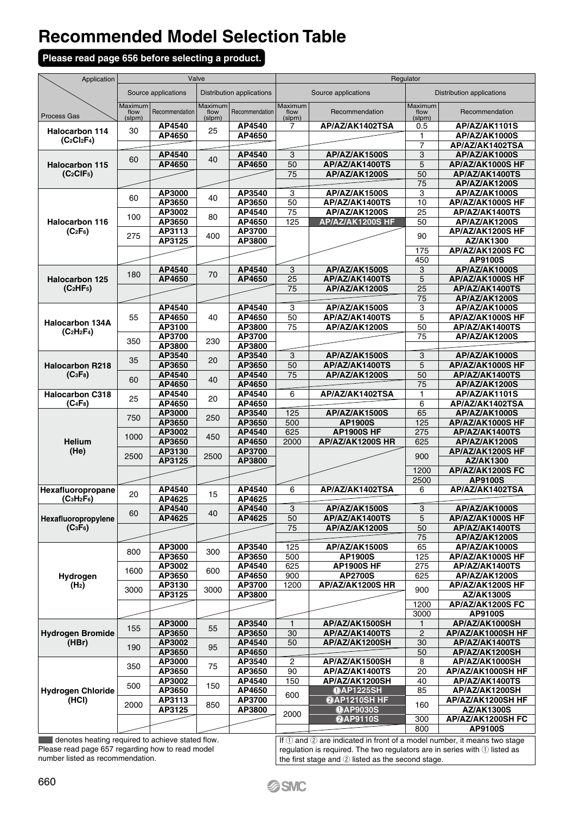#### **Please read page 656 before selecting a product.**

| Application                                                | Valve                     |                     |                           |                           | Regulator                 |                                        |                           |                                    |
|------------------------------------------------------------|---------------------------|---------------------|---------------------------|---------------------------|---------------------------|----------------------------------------|---------------------------|------------------------------------|
|                                                            |                           | Source applications |                           | Distribution applications |                           | Source applications                    |                           | <b>Distribution applications</b>   |
| Process Gas                                                | Maximum<br>flow<br>(slpm) | Recommendation      | Maximum<br>flow<br>(slpm) | Recommendation            | Maximum<br>flow<br>(slpm) | Recommendation                         | Maximum<br>flow<br>(slpm) | Recommendation                     |
| <b>Halocarbon 114</b>                                      | 30                        | AP4540              | 25                        | AP4540                    | 7                         | AP/AZ/AK1402TSA                        | 0.5                       | AP/AZ/AK1101S                      |
| $(C_2Cl_2F_4)$                                             |                           | AP4650              |                           | AP4650                    |                           |                                        | 1                         | AP/AZ/AK1000S                      |
|                                                            |                           |                     |                           |                           |                           |                                        | 7                         | AP/AZ/AK1402TSA                    |
|                                                            | 60                        | AP4540              | 40                        | AP4540                    | $\overline{\overline{3}}$ | AP/AZ/AK1500S                          | $\overline{3}$            | AP/AZ/AK1000S                      |
| <b>Halocarbon 115</b>                                      |                           | AP4650              |                           | AP4650                    | 50                        | AP/AZ/AK1400TS                         | 5                         | AP/AZ/AK1000S HF                   |
| $(C_2CIF_5)$                                               |                           |                     |                           |                           | 75                        | AP/AZ/AK1200S                          | 50                        | AP/AZ/AK1400TS                     |
|                                                            |                           |                     |                           |                           |                           |                                        | 75                        | AP/AZ/AK1200S                      |
|                                                            | 60                        | AP3000<br>AP3650    | 40                        | AP3540<br>AP3650          | 3<br>50                   | AP/AZ/AK1500S                          | 3<br>10                   | AP/AZ/AK1000S<br>AP/AZ/AK1000S HF  |
|                                                            |                           | AP3002              |                           | AP4540                    | 75                        | AP/AZ/AK1400TS<br><b>AP/AZ/AK1200S</b> | 25                        | AP/AZ/AK1400TS                     |
| Halocarbon 116                                             | 100                       | AP3650              | 80                        | AP4650                    | 125                       | AP/AZ/AK1200S HF                       | 50                        | AP/AZ/AK1200S                      |
| $(C_2F_6)$                                                 |                           | AP3113              |                           | AP3700                    |                           |                                        |                           | AP/AZ/AK1200S HF                   |
|                                                            | 275                       | AP3125              | 400                       | AP3800                    |                           |                                        | 90                        | AZ/AK1300                          |
|                                                            |                           |                     |                           |                           |                           |                                        | 175                       | AP/AZ/AK1200S FC                   |
|                                                            |                           |                     |                           |                           |                           |                                        | 450                       | AP9100S                            |
|                                                            |                           | AP4540              |                           | AP4540                    | $\overline{3}$            | AP/AZ/AK1500S                          | 3                         | AP/AZ/AK1000S                      |
| Halocarbon 125                                             | 180                       | AP4650              | 70                        | AP4650                    | 25                        | AP/AZ/AK1400TS                         | 5                         | AP/AZ/AK1000S HF                   |
| (C <sub>2</sub> HF <sub>5</sub> )                          |                           |                     |                           |                           | 75                        | AP/AZ/AK1200S                          | 25                        | AP/AZ/AK1400TS                     |
|                                                            |                           |                     |                           |                           |                           |                                        | 75                        | AP/AZ/AK1200S                      |
|                                                            |                           | AP4540              |                           | AP4540                    | 3                         | AP/AZ/AK1500S                          | 3                         | AP/AZ/AK1000S                      |
| <b>Halocarbon 134A</b>                                     | 55                        | AP4650              | 40                        | AP4650                    | 50                        | AP/AZ/AK1400TS                         | 5                         | AP/AZ/AK1000S HF                   |
| $(C2H2F4)$                                                 |                           | AP3100              |                           | AP3800                    | 75                        | AP/AZ/AK1200S                          | 50                        | AP/AZ/AK1400TS                     |
|                                                            | 350                       | AP3700              | 230                       | AP3700                    |                           |                                        | 75                        | AP/AZ/AK1200S                      |
|                                                            |                           | AP3800<br>AP3540    |                           | AP3800                    | 3                         | AP/AZ/AK1500S                          |                           | AP/AZ/AK1000S                      |
|                                                            | 35                        | AP3650              | 20                        | AP3540<br>AP3650          | 50                        | AP/AZ/AK1400TS                         | 3<br>5                    | AP/AZ/AK1000S HF                   |
| <b>Halocarbon R218</b><br>(C <sub>3</sub> F <sub>8</sub> ) |                           | AP4540              |                           | AP4540                    | 75                        | AP/AZ/AK1200S                          | 50                        | AP/AZ/AK1400TS                     |
|                                                            | 60                        | AP4650              | 40                        | AP4650                    |                           |                                        | 75                        | AP/AZ/AK1200S                      |
| <b>Halocarbon C318</b>                                     |                           | AP4540              |                           | AP4540                    | 6                         | AP/AZ/AK1402TSA                        | 1                         | AP/AZ/AK1101S                      |
| $(C_4F_8)$                                                 | 25                        | AP4650              | 20                        | AP4650                    |                           |                                        | 6                         | AP/AZ/AK1402TSA                    |
|                                                            |                           | AP3000              |                           | AP3540                    | 125                       | AP/AZ/AK1500S                          | 65                        | <b>AP/AZ/AK1000S</b>               |
|                                                            | 750                       | AP3650              | 250                       | AP3650                    | 500                       | AP1900S                                | 125                       | AP/AZ/AK1000S HF                   |
|                                                            | 1000                      | AP3002              | 450                       | AP4540                    | 625                       | <b>AP1900S HF</b>                      | 275                       | AP/AZ/AK1400TS                     |
| Helium                                                     |                           | AP3650              |                           | AP4650                    | 2000                      | AP/AZ/AK1200S HR                       | 625                       | AP/AZ/AK1200S                      |
| (He)                                                       | 2500                      | AP3130              | 2500                      | AP3700                    |                           |                                        | 900                       | AP/AZ/AK1200S HF                   |
|                                                            |                           | AP3125              |                           | AP3800                    |                           |                                        |                           | AZ/AK1300                          |
|                                                            |                           |                     |                           |                           |                           |                                        | 1200<br>2500              | AP/AZ/AK1200S FC<br><b>AP9100S</b> |
| Hexafluoropropane                                          |                           | AP4540              |                           | AP4540                    | 6                         | AP/AZ/AK1402TSA                        | 6                         | AP/AZ/AK1402TSA                    |
| $(C3H2F6)$                                                 | 20                        | AP4625              | 15                        | AP4625                    |                           |                                        |                           |                                    |
|                                                            |                           | AP4540              |                           | AP4540                    | 3                         | AP/AZ/AK1500S                          | 3                         | AP/AZ/AK1000S                      |
| Hexafluoropropylene                                        | 60                        | AP4625              | 40                        | AP4625                    | 50                        | AP/AZ/AK1400TS                         | 5                         | AP/AZ/AK1000S HF                   |
| (C <sub>3</sub> F <sub>6</sub> )                           |                           |                     |                           |                           | 75                        | AP/AZ/AK1200S                          | 50                        | AP/AZ/AK1400TS                     |
|                                                            |                           |                     |                           |                           |                           |                                        | 75                        | AP/AZ/AK1200S                      |
|                                                            | 800                       | AP3000              | 300                       | AP3540                    | 125                       | AP/AZ/AK1500S                          | 65                        | AP/AZ/AK1000S                      |
|                                                            |                           | AP3650              |                           | AP3650                    | 500                       | AP1900S                                | 125                       | AP/AZ/AK1000S HF                   |
|                                                            | 1600                      | AP3002              | 600                       | AP4540                    | 625                       | <b>AP1900S HF</b>                      | 275                       | AP/AZ/AK1400TS                     |
| Hydrogen                                                   |                           | AP3650              |                           | AP4650                    | 900                       | <b>AP2700S</b>                         | 625                       | AP/AZ/AK1200S                      |
| (H <sub>2</sub> )                                          | 3000                      | AP3130              | 3000                      | AP3700                    | 1200                      | AP/AZ/AK1200S HR                       | 900                       | AP/AZ/AK1200S HF                   |
|                                                            |                           | AP3125              |                           | AP3800                    |                           |                                        | 1200                      | AZ/AK1300S<br>AP/AZ/AK1200S FC     |
|                                                            |                           |                     |                           |                           |                           |                                        | 3000                      | AP9100S                            |
|                                                            |                           | AP3000              |                           | AP3540                    | $\mathbf{1}$              | AP/AZ/AK1500SH                         | 1                         | AP/AZ/AK1000SH                     |
| <b>Hydrogen Bromide</b><br>(HBr)                           | 155                       | AP3650              | 55                        | AP3650                    | 30                        | AP/AZ/AK1400TS                         | $\overline{2}$            | AP/AZ/AK1000SH HF                  |
|                                                            |                           | AP3002              |                           | AP4540                    | 50                        | AP/AZ/AK1200SH                         | 30                        | AP/AZ/AK1400TS                     |
|                                                            | 190                       | AP3650              | 95                        | AP4650                    |                           |                                        | 50                        | AP/AZ/AK1200SH                     |
|                                                            | 350                       | AP3000              | 75                        | AP3540                    | $\overline{2}$            | AP/AZ/AK1500SH                         | 8                         | AP/AZ/AK1000SH                     |
|                                                            |                           | AP3650              |                           | AP3650                    | 90                        | AP/AZ/AK1400TS                         | 20                        | AP/AZ/AK1000SH HF                  |
|                                                            | 500                       | AP3002              | 150                       | AP4540                    | 150                       | AP/AZ/AK1200SH                         | $\overline{40}$           | AP/AZ/AK1400TS                     |
| <b>Hydrogen Chloride</b>                                   |                           | AP3650              |                           | AP4650                    | 600                       | <b>OAP1225SH</b>                       | 85                        | AP/AZ/AK1200SH                     |
| (HCI)                                                      | 2000                      | AP3113              | 850                       | AP3700                    |                           | @AP1210SH HF                           | 160                       | AP/AZ/AK1200SH HF                  |
|                                                            |                           | AP3125              |                           | AP3800                    | 2000                      | <b>OAP9030S</b>                        |                           | <b>AZ/AK1300S</b>                  |
|                                                            |                           |                     |                           |                           |                           | <b>@AP9110S</b>                        | 300<br>800                | AP/AZ/AK1200SH FC<br>AP9100S       |
|                                                            |                           |                     |                           |                           |                           |                                        |                           |                                    |

denotes heating required to achieve stated flow. Please read page 657 regarding how to read model number listed as recommendation.

If  $\left( i\right)$  and  $\left( 2\right)$  are indicated in front of a model number, it means two stage regulation is required. The two regulators are in series with  $\mathbb D$  listed as the first stage and  $\oslash$  listed as the second stage.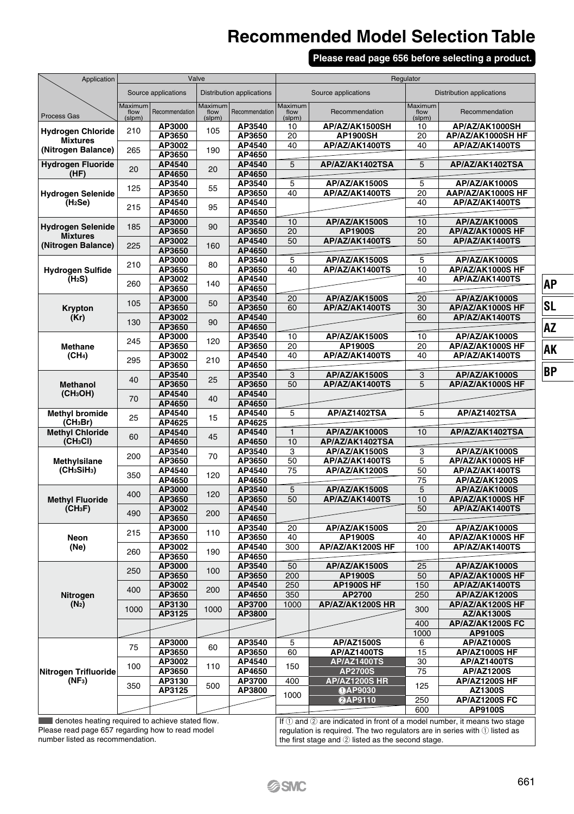#### **Please read page 656 before selecting a product.**

| Application                                         | Valve                     |                     |                           |                           |                           | Regulator                       |                           |                                           |  |  |
|-----------------------------------------------------|---------------------------|---------------------|---------------------------|---------------------------|---------------------------|---------------------------------|---------------------------|-------------------------------------------|--|--|
|                                                     |                           | Source applications |                           | Distribution applications |                           | Source applications             |                           | <b>Distribution applications</b>          |  |  |
| Process Gas                                         | Maximum<br>flow<br>(slpm) | Recommendation      | Maximum<br>flow<br>(slpm) | Recommendation            | Maximum<br>flow<br>(slpm) | Recommendation                  | Maximum<br>flow<br>(slpm) | Recommendation                            |  |  |
| <b>Hydrogen Chloride</b>                            | 210                       | AP3000              | 105                       | AP3540                    | 10                        | AP/AZ/AK1500SH                  | 10                        | AP/AZ/AK1000SH                            |  |  |
| <b>Mixtures</b>                                     |                           | AP3650<br>AP3002    |                           | AP3650<br>AP4540          | 20<br>40                  | AP1900SH<br>AP/AZ/AK1400TS      | 20<br>40                  | AP/AZ/AK1000SH HF<br>AP/AZ/AK1400TS       |  |  |
| (Nitrogen Balance)                                  | 265                       | AP3650              | 190                       | AP4650                    |                           |                                 |                           |                                           |  |  |
| <b>Hydrogen Fluoride</b><br>(HF)                    | 20                        | AP4540<br>AP4650    | 20                        | AP4540<br>AP4650          | 5                         | AP/AZ/AK1402TSA                 | 5                         | AP/AZ/AK1402TSA                           |  |  |
| <b>Hydrogen Selenide</b>                            | 125                       | AP3540<br>AP3650    | 55                        | AP3540<br>AP3650          | $\overline{5}$<br>40      | AP/AZ/AK1500S<br>AP/AZ/AK1400TS | $\overline{5}$<br>20      | <b>AP/AZ/AK1000S</b><br>AAP/AZ/AK1000S HF |  |  |
| (H <sub>2</sub> Se)                                 | 215                       | AP4540              | 95                        | AP4540                    |                           |                                 | 40                        | AP/AZ/AK1400TS                            |  |  |
|                                                     |                           | AP4650<br>AP3000    |                           | AP4650<br>AP3540          | 10                        | AP/AZ/AK1500S                   | 10                        | AP/AZ/AK1000S                             |  |  |
| <b>Hydrogen Selenide</b>                            | 185                       | AP3650              | 90                        | AP3650                    | 20                        | AP1900S                         | $\overline{20}$           | AP/AZ/AK1000S HF                          |  |  |
| <b>Mixtures</b><br>(Nitrogen Balance)               | 225                       | AP3002              |                           | AP4540                    | 50                        | AP/AZ/AK1400TS                  | 50                        | AP/AZ/AK1400TS                            |  |  |
|                                                     |                           | AP3650              | 160                       | AP4650                    |                           |                                 |                           |                                           |  |  |
|                                                     | 210                       | AP3000              | 80                        | AP3540                    | 5                         | AP/AZ/AK1500S                   | 5                         | AP/AZ/AK1000S                             |  |  |
| <b>Hydrogen Sulfide</b><br>(H <sub>2</sub> S)       |                           | AP3650<br>AP3002    |                           | AP3650<br>AP4540          | 40                        | AP/AZ/AK1400TS                  | 10<br>40                  | AP/AZ/AK1000S HF<br>AP/AZ/AK1400TS        |  |  |
|                                                     | 260                       | AP3650              | 140                       | AP4650                    |                           |                                 |                           |                                           |  |  |
|                                                     | 105                       | AP3000              | 50                        | AP3540                    | 20                        | AP/AZ/AK1500S                   | 20                        | AP/AZ/AK1000S                             |  |  |
| Krypton                                             |                           | AP3650              |                           | AP3650                    | 60                        | AP/AZ/AK1400TS                  | 30                        | AP/AZ/AK1000S HF                          |  |  |
| (Kr)                                                | 130                       | AP3002<br>AP3650    | 90                        | AP4540<br>AP4650          |                           |                                 | 60                        | AP/AZ/AK1400TS                            |  |  |
|                                                     |                           | AP3000              |                           | AP3540                    | 10                        | AP/AZ/AK1500S                   | 10                        | AP/AZ/AK1000S                             |  |  |
| <b>Methane</b>                                      | 245                       | AP3650              | 120                       | AP3650                    | 20                        | AP1900S                         | 20                        | AP/AZ/AK1000S HF                          |  |  |
| (CH <sub>4</sub> )                                  | 295                       | AP3002              | 210                       | AP4540                    | 40                        | AP/AZ/AK1400TS                  | 40                        | AP/AZ/AK1400TS                            |  |  |
|                                                     |                           | AP3650<br>AP3540    |                           | AP4650<br>AP3540          | $\overline{3}$            | AP/AZ/AK1500S                   | 3                         | AP/AZ/AK1000S                             |  |  |
| <b>Methanol</b>                                     | 40                        | AP3650              | 25                        | AP3650                    | 50                        | AP/AZ/AK1400TS                  | 5                         | AP/AZ/AK1000S HF                          |  |  |
| (CH <sub>3</sub> OH)                                | 70                        | AP4540              | 40                        | AP4540                    |                           |                                 |                           |                                           |  |  |
|                                                     |                           | AP4650              |                           | AP4650                    |                           |                                 |                           |                                           |  |  |
| <b>Methvl bromide</b><br>(CH <sub>3</sub> Br)       | 25                        | AP4540<br>AP4625    | 15                        | AP4540<br>AP4625          | $\overline{5}$            | AP/AZ1402TSA                    | 5                         | AP/AZ1402TSA                              |  |  |
| <b>Methyl Chloride</b>                              | 60                        | AP4540              | 45                        | AP4540                    | 1                         | AP/AZ/AK1000S                   | 10                        | AP/AZ/AK1402TSA                           |  |  |
| (CH <sub>3</sub> Cl)                                |                           | AP4650              |                           | AP4650                    | 10                        | AP/AZ/AK1402TSA                 |                           |                                           |  |  |
|                                                     | 200                       | AP3540<br>AP3650    | 70                        | AP3540<br>AP3650          | 3<br>50                   | AP/AZ/AK1500S<br>AP/AZ/AK1400TS | 3<br>$\overline{5}$       | AP/AZ/AK1000S<br>AP/AZ/AK1000S HF         |  |  |
| Methylsilane<br>(CH <sub>3</sub> SiH <sub>3</sub> ) |                           | AP4540              |                           | AP4540                    | 75                        | AP/AZ/AK1200S                   | 50                        | AP/AZ/AK1400TS                            |  |  |
|                                                     | 350                       | AP4650              | 120                       | AP4650                    |                           |                                 | 75                        | AP/AZ/AK1200S                             |  |  |
|                                                     | 400                       | AP3000              | 120                       | AP3540                    | 5                         | AP/AZ/AK1500S                   | 5                         | AP/AZ/AK1000S                             |  |  |
| <b>Methyl Fluoride</b>                              |                           | AP3650              |                           | AP3650                    | 50                        | AP/AZ/AK1400TS                  | 10                        | AP/AZ/AK1000S HF                          |  |  |
| (CH <sub>3</sub> F)                                 | 490                       | AP3002<br>AP3650    | 200                       | AP4540<br>AP4650          |                           |                                 | 50                        | AP/AZ/AK1400TS                            |  |  |
|                                                     |                           | AP3000              |                           | AP3540                    | 20                        | AP/AZ/AK1500S                   | 20                        | AP/AZ/AK1000S                             |  |  |
| Neon                                                | 215                       | AP3650              | 110                       | AP3650                    | 40                        | AP1900S                         | 40                        | AP/AZ/AK1000S HF                          |  |  |
| (Ne)                                                | 260                       | AP3002              | 190                       | AP4540                    | 300                       | AP/AZ/AK1200S HF                | 100                       | AP/AZ/AK1400TS                            |  |  |
|                                                     |                           | AP3650<br>AP3000    |                           | AP4650<br>AP3540          | 50                        | AP/AZ/AK1500S                   | 25                        | AP/AZ/AK1000S                             |  |  |
|                                                     | 250                       | AP3650              | 100                       | AP3650                    | 200                       | <b>AP1900S</b>                  | 50                        | AP/AZ/AK1000S HF                          |  |  |
|                                                     | 400                       | AP3002              | 200                       | AP4540                    | 250                       | <b>AP1900S HF</b>               | 150                       | AP/AZ/AK1400TS                            |  |  |
| Nitrogen                                            |                           | AP3650              |                           | AP4650                    | 350                       | AP2700                          | 250                       | AP/AZ/AK1200S                             |  |  |
| $(N_2)$                                             | 1000                      | AP3130<br>AP3125    | 1000                      | AP3700<br>AP3800          | 1000                      | AP/AZ/AK1200S HR                | 300                       | AP/AZ/AK1200S HF                          |  |  |
|                                                     |                           |                     |                           |                           |                           |                                 | 400                       | <b>AZ/AK1300S</b><br>AP/AZ/AK1200S FC     |  |  |
|                                                     |                           |                     |                           |                           |                           |                                 | 1000                      | AP9100S                                   |  |  |
|                                                     | 75                        | AP3000              | 60                        | AP3540                    | 5                         | AP/AZ1500S                      | 6                         | <b>AP/AZ1000S</b>                         |  |  |
|                                                     |                           | AP3650              |                           | AP3650                    | 60                        | <b>AP/AZ1400TS</b>              | 15                        | AP/AZ1000S HF                             |  |  |
| Nitrogen Trifluoride                                | 100                       | AP3002<br>AP3650    | 110                       | AP4540<br>AP4650          | 150                       | <b>AP/AZ1400TS</b><br>AP2700S   | 30<br>75                  | AP/AZ1400TS<br>AP/AZ1200S                 |  |  |
| $(NF_3)$                                            |                           | AP3130              |                           | AP3700                    | 400                       | <b>AP/AZ1200S HR</b>            |                           | AP/AZ1200S HF                             |  |  |
|                                                     | 350                       | AP3125              | 500                       | AP3800                    | 1000                      | <b>OAP9030</b>                  | 125                       | AZ1300S                                   |  |  |
|                                                     |                           |                     |                           |                           |                           | <b>@AP9110</b>                  | 250                       | AP/AZ1200S FC                             |  |  |
| سيمان ال                                            |                           |                     | - 1 - 1 -                 |                           |                           |                                 | 600                       | AP9100S                                   |  |  |

 denotes heating required to achieve stated flow. Please read page 657 regarding how to read model number listed as recommendation.

If  $(1)$  and  $(2)$  are indicated in front of a model number, it means two stage regulation is required. The two regulators are in series with  $\bigcirc$  listed as the first stage and  $\oslash$  listed as the second stage.

**SL AZ AK BP**

**AP**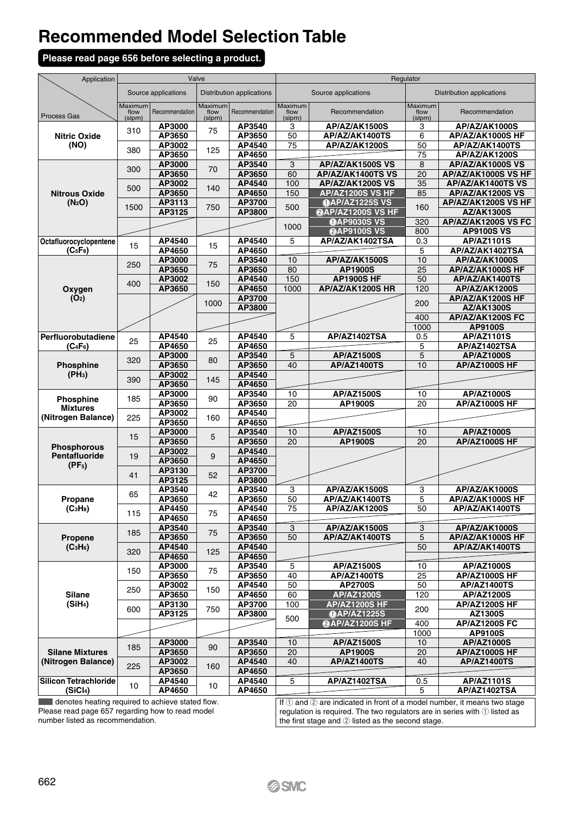#### **Please read page 656 before selecting a product.**

| Application                      | Valve                     |                     |                           |                                  | Regulator                 |                                       |                           |                                          |  |
|----------------------------------|---------------------------|---------------------|---------------------------|----------------------------------|---------------------------|---------------------------------------|---------------------------|------------------------------------------|--|
|                                  |                           | Source applications |                           | <b>Distribution applications</b> |                           | Source applications                   |                           | <b>Distribution applications</b>         |  |
| Process Gas                      | Maximum<br>flow<br>(slpm) | Recommendation      | Maximum<br>flow<br>(slpm) | Recommendation                   | Maximum<br>flow<br>(slpm) | Recommendation                        | Maximum<br>flow<br>(slpm) | Recommendation                           |  |
|                                  | 310                       | AP3000              | 75                        | AP3540                           | 3                         | AP/AZ/AK1500S                         | 3                         | AP/AZ/AK1000S                            |  |
| <b>Nitric Oxide</b>              |                           | AP3650              |                           | AP3650                           | 50                        | AP/AZ/AK1400TS                        | 6                         | AP/AZ/AK1000S HF                         |  |
| (NO)                             | 380                       | AP3002              | 125                       | AP4540                           | 75                        | AP/AZ/AK1200S                         | 50                        | AP/AZ/AK1400TS                           |  |
|                                  |                           | AP3650              |                           | AP4650                           |                           |                                       | 75                        | AP/AZ/AK1200S                            |  |
|                                  | 300                       | AP3000              | 70                        | AP3540                           | 3                         | AP/AZ/AK1500S VS                      | 8                         | AP/AZ/AK1000S VS                         |  |
|                                  |                           | AP3650<br>AP3002    |                           | AP3650<br>AP4540                 | 60<br>100                 | AP/AZ/AK1400TS VS<br>AP/AZ/AK1200S VS | 20<br>35                  | AP/AZ/AK1000S VS HF<br>AP/AZ/AK1400TS VS |  |
| <b>Nitrous Oxide</b>             | 500                       | AP3650              | 140                       | AP4650                           | 150                       | AP/AZ1200S VS HF                      | 85                        | AP/AZ/AK1200S VS                         |  |
| (N <sub>2</sub> O)               |                           | AP3113              |                           | AP3700                           |                           | <b>OAP/AZ1225S VS</b>                 |                           | AP/AZ/AK1200S VS HF                      |  |
|                                  | 1500                      | AP3125              | 750                       | AP3800                           | 500                       | @AP/AZ1200S VS HF                     | 160                       | <b>AZ/AK1300S</b>                        |  |
|                                  |                           |                     |                           |                                  |                           | <b>OAP9030S VS</b>                    | 320                       | AP/AZ/AK1200S VS FC                      |  |
|                                  |                           |                     |                           |                                  | 1000                      | @AP9100S VS                           | 800                       | <b>AP9100S VS</b>                        |  |
| Octafluorocyclopentene           |                           | AP4540              |                           | AP4540                           | 5                         | AP/AZ/AK1402TSA                       | 0.3                       | AP/AZ1101S                               |  |
| (C <sub>5</sub> F <sub>8</sub> ) | 15                        | AP4650              | 15                        | AP4650                           |                           |                                       | 5                         | AP/AZ/AK1402TSA                          |  |
|                                  | 250                       | AP3000              | 75                        | AP3540                           | 10                        | AP/AZ/AK1500S                         | 10                        | AP/AZ/AK1000S                            |  |
|                                  |                           | AP3650              |                           | AP3650                           | 80                        | <b>AP1900S</b>                        | 25                        | AP/AZ/AK1000S HF                         |  |
|                                  | 400                       | AP3002              | 150                       | AP4540                           | 150                       | <b>AP1900S HF</b>                     | 50                        | AP/AZ/AK1400TS                           |  |
| Oxygen                           |                           | AP3650              |                           | AP4650                           | 1000                      | AP/AZ/AK1200S HR                      | 120                       | AP/AZ/AK1200S                            |  |
| (O <sub>2</sub> )                |                           |                     | 1000                      | AP3700                           |                           |                                       | 200                       | AP/AZ/AK1200S HF                         |  |
|                                  |                           |                     |                           | AP3800                           |                           |                                       |                           | AZ/AK1300S                               |  |
|                                  |                           |                     |                           |                                  |                           |                                       | 400                       | AP/AZ/AK1200S FC                         |  |
| Perfluorobutadiene               |                           | AP4540              |                           | AP4540                           | 5                         | AP/AZ1402TSA                          | 1000<br>0.5               | AP9100S<br>AP/AZ1101S                    |  |
| $(C_4F_6)$                       | 25                        | AP4650              | 25                        | AP4650                           |                           |                                       | 5                         | AP/AZ1402TSA                             |  |
|                                  |                           | AP3000              |                           | AP3540                           | 5                         | AP/AZ1500S                            | 5                         | AP/AZ1000S                               |  |
| Phosphine                        | 320                       | AP3650              | 80                        | AP3650                           | 40                        | <b>AP/AZ1400TS</b>                    | 10                        | AP/AZ1000S HF                            |  |
| (PH <sub>3</sub> )               |                           | AP3002              |                           | AP4540                           |                           |                                       |                           |                                          |  |
|                                  | 390                       | AP3650              | 145                       | AP4650                           |                           |                                       |                           |                                          |  |
|                                  |                           | AP3000              | 90                        | AP3540                           | 10                        | <b>AP/AZ1500S</b>                     | 10                        | AP/AZ1000S                               |  |
| Phosphine<br><b>Mixtures</b>     | 185                       | AP3650              |                           | AP3650                           | 20                        | <b>AP1900S</b>                        | 20                        | AP/AZ1000S HF                            |  |
| (Nitrogen Balance)               | 225                       | AP3002              | 160                       | AP4540                           |                           |                                       |                           |                                          |  |
|                                  |                           | AP3650              |                           | AP4650                           |                           |                                       |                           |                                          |  |
|                                  | 15                        | AP3000              | 5                         | AP3540                           | $\overline{10}$           | <b>AP/AZ1500S</b>                     | $\overline{10}$           | AP/AZ1000S                               |  |
| <b>Phosphorous</b>               |                           | AP3650<br>AP3002    |                           | AP3650<br>AP4540                 | 20                        | <b>AP1900S</b>                        | 20                        | <b>AP/AZ1000S HF</b>                     |  |
| Pentafluoride                    | 19                        | AP3650              | 9                         | AP4650                           |                           |                                       |                           |                                          |  |
| (PF <sub>5</sub> )               |                           | AP3130              |                           | AP3700                           |                           |                                       |                           |                                          |  |
|                                  | 41                        | AP3125              | 52                        | AP3800                           |                           |                                       |                           |                                          |  |
|                                  |                           | AP3540              |                           | AP3540                           | 3                         | AP/AZ/AK1500S                         | 3                         | AP/AZ/AK1000S                            |  |
| Propane                          | 65                        | AP3650              | 42                        | AP3650                           | 50                        | AP/AZ/AK1400TS                        | 5                         | AP/AZ/AK1000S HF                         |  |
| (C <sub>3</sub> H <sub>8</sub> ) |                           | AP4450              |                           | AP4540                           | 75                        | AP/AZ/AK1200S                         | 50                        | AP/AZ/AK1400TS                           |  |
|                                  | 115                       | AP4650              | 75                        | AP4650                           |                           |                                       |                           |                                          |  |
|                                  | 185                       | AP3540              | 75                        | AP3540                           | 3                         | AP/AZ/AK1500S                         | 3                         | AP/AZ/AK1000S                            |  |
| Propene                          |                           | AP3650              |                           | AP3650                           | 50                        | AP/AZ/AK1400TS                        | 5                         | AP/AZ/AK1000S HF                         |  |
| (C <sub>3</sub> H <sub>6</sub> ) | 320                       | AP4540              | 125                       | AP4540                           |                           |                                       | 50                        | AP/AZ/AK1400TS                           |  |
|                                  |                           | AP4650              |                           | AP4650                           |                           |                                       |                           |                                          |  |
|                                  | 150                       | AP3000              | 75                        | AP3540                           | $\overline{5}$<br>40      | AP/AZ1500S                            | 10<br>25                  | AP/AZ1000S                               |  |
|                                  |                           | AP3650<br>AP3002    |                           | AP3650                           | 50                        | <b>AP/AZ1400TS</b>                    |                           | AP/AZ1000S HF                            |  |
| Silane                           | 250                       | AP3650              | 150                       | AP4540<br>AP4650                 | 60                        | <b>AP2700S</b><br><b>AP/AZ1200S</b>   | 50<br>120                 | AP/AZ1400TS<br>AP/AZ1200S                |  |
| (SiH <sub>4</sub> )              |                           | AP3130              |                           | AP3700                           | 100                       | <b>AP/AZ1200S HF</b>                  |                           | <b>AP/AZ1200S HF</b>                     |  |
|                                  | 600                       | AP3125              | 750                       | AP3800                           |                           | <b>OAP/AZ1225S</b>                    | 200                       | AZ1300S                                  |  |
|                                  |                           |                     |                           |                                  | 500                       | @AP/AZ1200S HF                        | 400                       | <b>AP/AZ1200S FC</b>                     |  |
|                                  |                           |                     |                           |                                  |                           |                                       | 1000                      | AP9100S                                  |  |
|                                  | 185                       | AP3000              | 90                        | AP3540                           | 10                        | <b>AP/AZ1500S</b>                     | 10                        | AP/AZ1000S                               |  |
| <b>Silane Mixtures</b>           |                           | AP3650              |                           | AP3650                           | 20                        | AP1900S                               | 20                        | AP/AZ1000S HF                            |  |
| (Nitrogen Balance)               | 225                       | AP3002              | 160                       | AP4540                           | 40                        | <b>AP/AZ1400TS</b>                    | 40                        | AP/AZ1400TS                              |  |
|                                  |                           | AP3650              |                           | AP4650                           |                           |                                       |                           |                                          |  |
| <b>Silicon Tetrachloride</b>     | 10                        | AP4540              | 10                        | AP4540                           | 5                         | AP/AZ1402TSA                          | 0.5                       | AP/AZ1101S                               |  |
| (SiCl <sub>4</sub> )             |                           | AP4650              |                           | AP4650                           |                           |                                       | 5                         | AP/AZ1402TSA                             |  |

denotes heating required to achieve stated flow. Please read page 657 regarding how to read model number listed as recommendation.

If  $\left( i\right)$  and  $\left( 2\right)$  are indicated in front of a model number, it means two stage regulation is required. The two regulators are in series with  $\mathbb O$  listed as the first stage and  $@$  listed as the second stage.